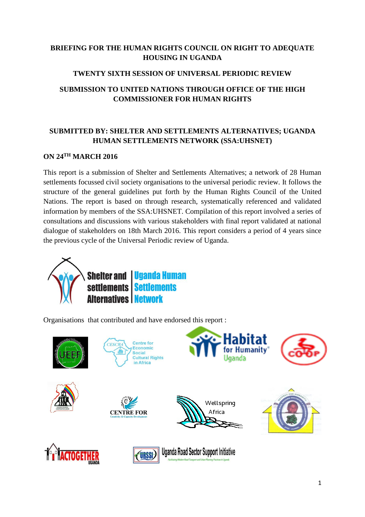# **BRIEFING FOR THE HUMAN RIGHTS COUNCIL ON RIGHT TO ADEQUATE HOUSING IN UGANDA**

# **TWENTY SIXTH SESSION OF UNIVERSAL PERIODIC REVIEW**

# **SUBMISSION TO UNITED NATIONS THROUGH OFFICE OF THE HIGH COMMISSIONER FOR HUMAN RIGHTS**

# **SUBMITTED BY: SHELTER AND SETTLEMENTS ALTERNATIVES; UGANDA HUMAN SETTLEMENTS NETWORK (SSA:UHSNET)**

### **ON 24TH MARCH 2016**

This report is a submission of Shelter and Settlements Alternatives; a network of 28 Human settlements focussed civil society organisations to the universal periodic review. It follows the structure of the general guidelines put forth by the Human Rights Council of the United Nations. The report is based on through research, systematically referenced and validated information by members of the SSA:UHSNET. Compilation of this report involved a series of consultations and discussions with various stakeholders with final report validated at national dialogue of stakeholders on 18th March 2016. This report considers a period of 4 years since the previous cycle of the Universal Periodic review of Uganda.



Organisations that contributed and have endorsed this report :



















**Uganda Road Sector Support Initiative**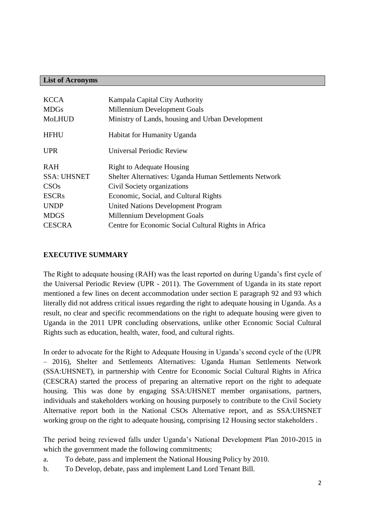#### **List of Acronyms**

| <b>KCCA</b><br><b>MDGs</b><br><b>MoLHUD</b> | Kampala Capital City Authority<br>Millennium Development Goals<br>Ministry of Lands, housing and Urban Development |
|---------------------------------------------|--------------------------------------------------------------------------------------------------------------------|
| <b>HFHU</b>                                 | Habitat for Humanity Uganda                                                                                        |
| <b>UPR</b>                                  | Universal Periodic Review                                                                                          |
| <b>RAH</b>                                  | <b>Right to Adequate Housing</b>                                                                                   |
| <b>SSA: UHSNET</b>                          | Shelter Alternatives: Uganda Human Settlements Network                                                             |
| CSOs                                        | Civil Society organizations                                                                                        |
| <b>ESCRs</b>                                | Economic, Social, and Cultural Rights                                                                              |
| <b>UNDP</b>                                 | <b>United Nations Development Program</b>                                                                          |
|                                             |                                                                                                                    |
| <b>MDGS</b>                                 | Millennium Development Goals                                                                                       |
| <b>CESCRA</b>                               | Centre for Economic Social Cultural Rights in Africa                                                               |

#### **EXECUTIVE SUMMARY**

The Right to adequate housing (RAH) was the least reported on during Uganda's first cycle of the Universal Periodic Review (UPR - 2011). The Government of Uganda in its state report mentioned a few lines on decent accommodation under section E paragraph 92 and 93 which literally did not address critical issues regarding the right to adequate housing in Uganda. As a result, no clear and specific recommendations on the right to adequate housing were given to Uganda in the 2011 UPR concluding observations, unlike other Economic Social Cultural Rights such as education, health, water, food, and cultural rights.

In order to advocate for the Right to Adequate Housing in Uganda's second cycle of the (UPR – 2016), Shelter and Settlements Alternatives: Uganda Human Settlements Network (SSA:UHSNET), in partnership with Centre for Economic Social Cultural Rights in Africa (CESCRA) started the process of preparing an alternative report on the right to adequate housing. This was done by engaging SSA:UHSNET member organisations, partners, individuals and stakeholders working on housing purposely to contribute to the Civil Society Alternative report both in the National CSOs Alternative report, and as SSA:UHSNET working group on the right to adequate housing, comprising 12 Housing sector stakeholders .

The period being reviewed falls under Uganda's National Development Plan 2010-2015 in which the government made the following commitments;

- a. To debate, pass and implement the National Housing Policy by 2010.
- b. To Develop, debate, pass and implement Land Lord Tenant Bill.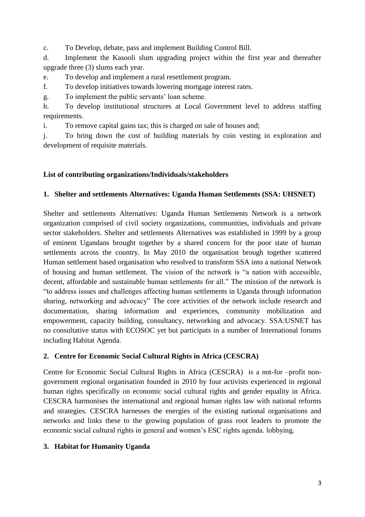c. To Develop, debate, pass and implement Building Control Bill.

d. Implement the Kasooli slum upgrading project within the first year and thereafter upgrade three (3) slums each year.

e. To develop and implement a rural resettlement program.

f. To develop initiatives towards lowering mortgage interest rates.

g. To implement the public servants' loan scheme.

h. To develop institutional structures at Local Government level to address staffing requirements.

i. To remove capital gains tax; this is charged on sale of houses and;

j. To bring down the cost of building materials by coin vesting in exploration and development of requisite materials.

#### **List of contributing organizations/Individuals/stakeholders**

#### **1. Shelter and settlements Alternatives: Uganda Human Settlements (SSA: UHSNET)**

Shelter and settlements Alternatives: Uganda Human Settlements Network is a network organization comprised of civil society organizations, communities, individuals and private sector stakeholders. Shelter and settlements Alternatives was established in 1999 by a group of eminent Ugandans brought together by a shared concern for the poor state of human settlements across the country. In May 2010 the organisation brough together scattered Human settlement based organisation who resolved to transform SSA into a national Network of housing and human settlement. The vision of the network is "a nation with accessible, decent, affordable and sustainable human settlements for all." The mission of the network is "to address issues and challenges affecting human settlements in Uganda through information sharing, networking and advocacy" The core activities of the network include research and documentation, sharing information and experiences, community mobilization and empowerment, capacity building, consultancy, networking and advocacy. SSA:USNET has no consultative status with ECOSOC yet but participats in a number of International forums including Habitat Agenda.

### **2. Centre for Economic Social Cultural Rights in Africa (CESCRA)**

Centre for Economic Social Cultural Rights in Africa (CESCRA) is a not-for –profit nongovernment regional organisation founded in 2010 by four activists experienced in regional human rights specifically on economic social cultural rights and gender equality in Africa. CESCRA harmonises the international and regional human rights law with national reforms and strategies. CESCRA harnesses the energies of the existing national organisations and networks and links these to the growing population of grass root leaders to promote the economic social cultural rights in general and women's ESC rights agenda. lobbying.

### **3. Habitat for Humanity Uganda**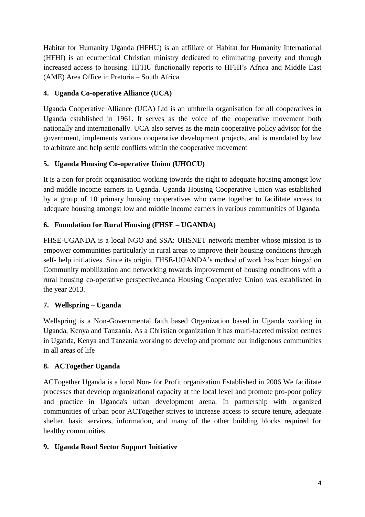Habitat for Humanity Uganda (HFHU) is an affiliate of Habitat for Humanity International (HFHI) is an ecumenical Christian ministry dedicated to eliminating poverty and through increased access to housing. HFHU functionally reports to HFHI's Africa and Middle East (AME) Area Office in Pretoria – South Africa.

# **4. Uganda Co-operative Alliance (UCA)**

Uganda Cooperative Alliance (UCA) Ltd is an umbrella organisation for all cooperatives in Uganda established in 1961. It serves as the voice of the cooperative movement both nationally and internationally. UCA also serves as the main cooperative policy advisor for the government, implements various cooperative development projects, and is mandated by law to arbitrate and help settle conflicts within the cooperative movement

# **5. Uganda Housing Co-operative Union (UHOCU)**

It is a non for profit organisation working towards the right to adequate housing amongst low and middle income earners in Uganda. Uganda Housing Cooperative Union was established by a group of 10 primary housing cooperatives who came together to facilitate access to adequate housing amongst low and middle income earners in various communities of Uganda.

## **6. Foundation for Rural Housing (FHSE – UGANDA)**

FHSE-UGANDA is a local NGO and SSA: UHSNET network member whose mission is to empower communities particularly in rural areas to improve their housing conditions through self- help initiatives. Since its origin, FHSE-UGANDA's method of work has been hinged on Community mobilization and networking towards improvement of housing conditions with a rural housing co-operative perspective.anda Housing Cooperative Union was established in the year 2013.

# **7. Wellspring – Uganda**

Wellspring is a Non-Governmental faith based Organization based in Uganda working in Uganda, Kenya and Tanzania. As a Christian organization it has multi-faceted mission centres in Uganda, Kenya and Tanzania working to develop and promote our indigenous communities in all areas of life

# **8. ACTogether Uganda**

ACTogether Uganda is a local Non- for Profit organization Established in 2006 We facilitate processes that develop organizational capacity at the local level and promote pro-poor policy and practice in Uganda's urban development arena. In partnership with organized communities of urban poor ACTogether strives to increase access to secure tenure, adequate shelter, basic services, information, and many of the other building blocks required for healthy communities

### **9. Uganda Road Sector Support Initiative**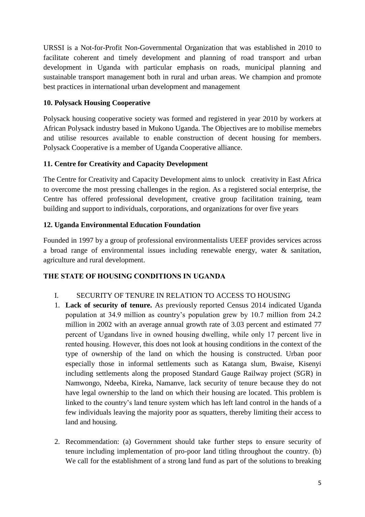URSSI is a Not-for-Profit Non-Governmental Organization that was established in 2010 to facilitate coherent and timely development and planning of road transport and urban development in Uganda with particular emphasis on roads, municipal planning and sustainable transport management both in rural and urban areas. We champion and promote best practices in international urban development and management

### **10. Polysack Housing Cooperative**

Polysack housing cooperative society was formed and registered in year 2010 by workers at African Polysack industry based in Mukono Uganda. The Objectives are to mobilise memebrs and utilise resources available to enable construction of decent housing for members. Polysack Cooperative is a member of Uganda Cooperative alliance.

## **11. Centre for Creativity and Capacity Development**

The Centre for Creativity and Capacity Development aims to unlock creativity in East Africa to overcome the most pressing challenges in the region. As a registered social enterprise, the Centre has offered professional development, creative group facilitation training, team building and support to individuals, corporations, and organizations for over five years

## **12. Uganda Environmental Education Foundation**

Founded in 1997 by a group of professional environmentalists UEEF provides services across a broad range of environmental issues including renewable energy, water & sanitation, agriculture and rural development.

# **THE STATE OF HOUSING CONDITIONS IN UGANDA**

- I. SECURITY OF TENURE IN RELATION TO ACCESS TO HOUSING
- 1. **Lack of security of tenure.** As previously reported Census 2014 indicated Uganda population at 34.9 million as country's population grew by 10.7 million from 24.2 million in 2002 with an average annual growth rate of 3.03 percent and estimated 77 percent of Ugandans live in owned housing dwelling, while only 17 percent live in rented housing. However, this does not look at housing conditions in the context of the type of ownership of the land on which the housing is constructed. Urban poor especially those in informal settlements such as Katanga slum, Bwaise, Kisenyi including settlements along the proposed Standard Gauge Railway project (SGR) in Namwongo, Ndeeba, Kireka, Namanve, lack security of tenure because they do not have legal ownership to the land on which their housing are located. This problem is linked to the country's land tenure system which has left land control in the hands of a few individuals leaving the majority poor as squatters, thereby limiting their access to land and housing.
- 2. Recommendation: (a) Government should take further steps to ensure security of tenure including implementation of pro-poor land titling throughout the country. (b) We call for the establishment of a strong land fund as part of the solutions to breaking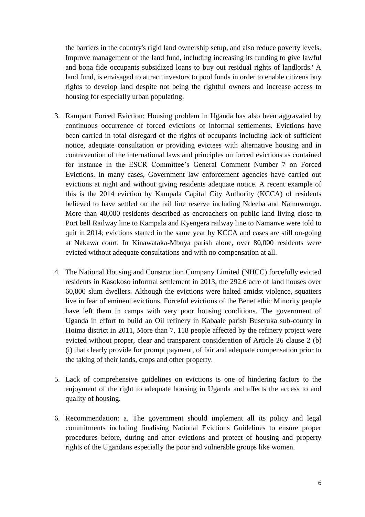the barriers in the country's rigid land ownership setup, and also reduce poverty levels. Improve management of the land fund, including increasing its funding to give lawful and bona fide occupants subsidized loans to buy out residual rights of landlords.' A land fund, is envisaged to attract investors to pool funds in order to enable citizens buy rights to develop land despite not being the rightful owners and increase access to housing for especially urban populating.

- 3. Rampant Forced Eviction: Housing problem in Uganda has also been aggravated by continuous occurrence of forced evictions of informal settlements. Evictions have been carried in total disregard of the rights of occupants including lack of sufficient notice, adequate consultation or providing evictees with alternative housing and in contravention of the international laws and principles on forced evictions as contained for instance in the ESCR Committee's General Comment Number 7 on Forced Evictions. In many cases, Government law enforcement agencies have carried out evictions at night and without giving residents adequate notice. A recent example of this is the 2014 eviction by Kampala Capital City Authority (KCCA) of residents believed to have settled on the rail line reserve including Ndeeba and Namuwongo. More than 40,000 residents described as encroachers on public land living close to Port bell Railway line to Kampala and Kyengera railway line to Namanve were told to quit in 2014; evictions started in the same year by KCCA and cases are still on-going at Nakawa court. In Kinawataka-Mbuya parish alone, over 80,000 residents were evicted without adequate consultations and with no compensation at all.
- 4. The National Housing and Construction Company Limited (NHCC) forcefully evicted residents in Kasokoso informal settlement in 2013, the 292.6 acre of land houses over 60,000 slum dwellers. Although the evictions were halted amidst violence, squatters live in fear of eminent evictions. Forceful evictions of the Benet ethic Minority people have left them in camps with very poor housing conditions. The government of Uganda in effort to build an Oil refinery in Kabaale parish Buseruka sub-county in Hoima district in 2011, More than 7, 118 people affected by the refinery project were evicted without proper, clear and transparent consideration of Article 26 clause 2 (b) (i) that clearly provide for prompt payment, of fair and adequate compensation prior to the taking of their lands, crops and other property.
- 5. Lack of comprehensive guidelines on evictions is one of hindering factors to the enjoyment of the right to adequate housing in Uganda and affects the access to and quality of housing.
- 6. Recommendation: a. The government should implement all its policy and legal commitments including finalising National Evictions Guidelines to ensure proper procedures before, during and after evictions and protect of housing and property rights of the Ugandans especially the poor and vulnerable groups like women.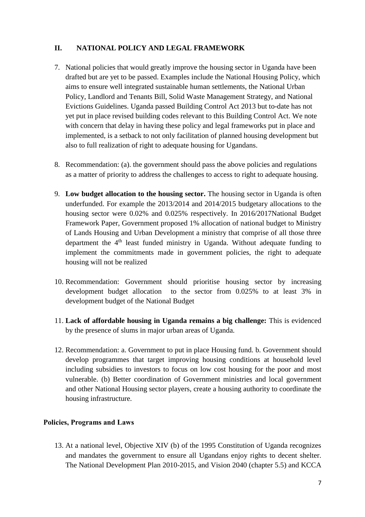#### **II. NATIONAL POLICY AND LEGAL FRAMEWORK**

- 7. National policies that would greatly improve the housing sector in Uganda have been drafted but are yet to be passed. Examples include the National Housing Policy, which aims to ensure well integrated sustainable human settlements, the National Urban Policy, Landlord and Tenants Bill, Solid Waste Management Strategy, and National Evictions Guidelines. Uganda passed Building Control Act 2013 but to-date has not yet put in place revised building codes relevant to this Building Control Act. We note with concern that delay in having these policy and legal frameworks put in place and implemented, is a setback to not only facilitation of planned housing development but also to full realization of right to adequate housing for Ugandans.
- 8. Recommendation: (a). the government should pass the above policies and regulations as a matter of priority to address the challenges to access to right to adequate housing.
- 9. **Low budget allocation to the housing sector.** The housing sector in Uganda is often underfunded. For example the 2013/2014 and 2014/2015 budgetary allocations to the housing sector were 0.02% and 0.025% respectively. In 2016/2017National Budget Framework Paper, Government proposed 1% allocation of national budget to Ministry of Lands Housing and Urban Development a ministry that comprise of all those three department the  $4<sup>th</sup>$  least funded ministry in Uganda. Without adequate funding to implement the commitments made in government policies, the right to adequate housing will not be realized
- 10. Recommendation: Government should prioritise housing sector by increasing development budget allocation to the sector from 0.025% to at least 3% in development budget of the National Budget
- 11. **Lack of affordable housing in Uganda remains a big challenge:** This is evidenced by the presence of slums in major urban areas of Uganda.
- 12. Recommendation: a. Government to put in place Housing fund. b. Government should develop programmes that target improving housing conditions at household level including subsidies to investors to focus on low cost housing for the poor and most vulnerable. (b) Better coordination of Government ministries and local government and other National Housing sector players, create a housing authority to coordinate the housing infrastructure.

#### **Policies, Programs and Laws**

13. At a national level, Objective XIV (b) of the 1995 Constitution of Uganda recognizes and mandates the government to ensure all Ugandans enjoy rights to decent shelter. The National Development Plan 2010-2015, and Vision 2040 (chapter 5.5) and KCCA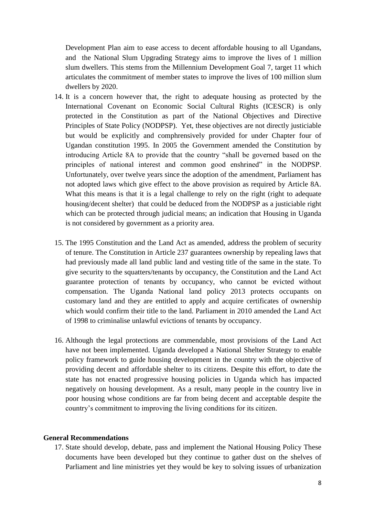Development Plan aim to ease access to decent affordable housing to all Ugandans, and the National Slum Upgrading Strategy aims to improve the lives of 1 million slum dwellers. This stems from the Millennium Development Goal 7, target 11 which articulates the commitment of member states to improve the lives of 100 million slum dwellers by 2020.

- 14. It is a concern however that, the right to adequate housing as protected by the International Covenant on Economic Social Cultural Rights (ICESCR) is only protected in the Constitution as part of the National Objectives and Directive Principles of State Policy (NODPSP). Yet, these objectives are not directly justiciable but would be explicitly and comphrensively provided for under Chapter four of Ugandan constitution 1995. In 2005 the Government amended the Constitution by introducing Article 8A to provide that the country "shall be governed based on the principles of national interest and common good enshrined" in the NODPSP. Unfortunately, over twelve years since the adoption of the amendment, Parliament has not adopted laws which give effect to the above provision as required by Article 8A. What this means is that it is a legal challenge to rely on the right (right to adequate housing/decent shelter) that could be deduced from the NODPSP as a justiciable right which can be protected through judicial means; an indication that Housing in Uganda is not considered by government as a priority area.
- 15. The 1995 Constitution and the Land Act as amended, address the problem of security of tenure. The Constitution in Article 237 guarantees ownership by repealing laws that had previously made all land public land and vesting title of the same in the state. To give security to the squatters/tenants by occupancy, the Constitution and the Land Act guarantee protection of tenants by occupancy, who cannot be evicted without compensation. The Uganda National land policy 2013 protects occupants on customary land and they are entitled to apply and acquire certificates of ownership which would confirm their title to the land. Parliament in 2010 amended the Land Act of 1998 to criminalise unlawful evictions of tenants by occupancy.
- 16. Although the legal protections are commendable, most provisions of the Land Act have not been implemented. Uganda developed a National Shelter Strategy to enable policy framework to guide housing development in the country with the objective of providing decent and affordable shelter to its citizens. Despite this effort, to date the state has not enacted progressive housing policies in Uganda which has impacted negatively on housing development. As a result, many people in the country live in poor housing whose conditions are far from being decent and acceptable despite the country's commitment to improving the living conditions for its citizen.

#### **General Recommendations**

17. State should develop, debate, pass and implement the National Housing Policy These documents have been developed but they continue to gather dust on the shelves of Parliament and line ministries yet they would be key to solving issues of urbanization